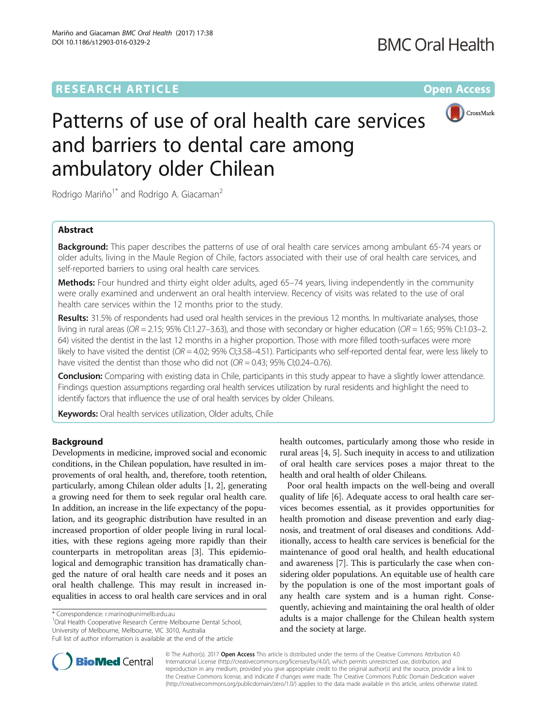# **RESEARCH ARTICLE Example 2014 12:30 The Contract of Contract ACCESS**



# Patterns of use of oral health care services and barriers to dental care among ambulatory older Chilean

Rodrigo Mariño<sup>1\*</sup> and Rodrigo A. Giacaman<sup>2</sup>

# Abstract

**Background:** This paper describes the patterns of use of oral health care services among ambulant 65-74 years or older adults, living in the Maule Region of Chile, factors associated with their use of oral health care services, and self-reported barriers to using oral health care services.

Methods: Four hundred and thirty eight older adults, aged 65–74 years, living independently in the community were orally examined and underwent an oral health interview. Recency of visits was related to the use of oral health care services within the 12 months prior to the study.

Results: 31.5% of respondents had used oral health services in the previous 12 months. In multivariate analyses, those living in rural areas ( $OR = 2.15$ ; 95% CI:1.27-3.63), and those with secondary or higher education ( $OR = 1.65$ ; 95% CI:1.03-2. 64) visited the dentist in the last 12 months in a higher proportion. Those with more filled tooth-surfaces were more likely to have visited the dentist (OR = 4.02; 95% CI;3.58–4.51). Participants who self-reported dental fear, were less likely to have visited the dentist than those who did not  $(OR = 0.43; 95\% \text{ Cl}, 0.24-0.76)$ .

Conclusion: Comparing with existing data in Chile, participants in this study appear to have a slightly lower attendance. Findings question assumptions regarding oral health services utilization by rural residents and highlight the need to identify factors that influence the use of oral health services by older Chileans.

Keywords: Oral health services utilization, Older adults, Chile

# Background

Developments in medicine, improved social and economic conditions, in the Chilean population, have resulted in improvements of oral health, and, therefore, tooth retention, particularly, among Chilean older adults [\[1](#page-5-0), [2](#page-5-0)], generating a growing need for them to seek regular oral health care. In addition, an increase in the life expectancy of the population, and its geographic distribution have resulted in an increased proportion of older people living in rural localities, with these regions ageing more rapidly than their counterparts in metropolitan areas [[3\]](#page-5-0). This epidemiological and demographic transition has dramatically changed the nature of oral health care needs and it poses an oral health challenge. This may result in increased inequalities in access to oral health care services and in oral

<sup>1</sup>Oral Health Cooperative Research Centre Melbourne Dental School, University of Melbourne, Melbourne, VIC 3010, Australia



Poor oral health impacts on the well-being and overall quality of life [\[6\]](#page-5-0). Adequate access to oral health care services becomes essential, as it provides opportunities for health promotion and disease prevention and early diagnosis, and treatment of oral diseases and conditions. Additionally, access to health care services is beneficial for the maintenance of good oral health, and health educational and awareness [[7\]](#page-5-0). This is particularly the case when considering older populations. An equitable use of health care by the population is one of the most important goals of any health care system and is a human right. Consequently, achieving and maintaining the oral health of older adults is a major challenge for the Chilean health system and the society at large.



© The Author(s). 2017 **Open Access** This article is distributed under the terms of the Creative Commons Attribution 4.0 International License [\(http://creativecommons.org/licenses/by/4.0/](http://creativecommons.org/licenses/by/4.0/)), which permits unrestricted use, distribution, and reproduction in any medium, provided you give appropriate credit to the original author(s) and the source, provide a link to the Creative Commons license, and indicate if changes were made. The Creative Commons Public Domain Dedication waiver [\(http://creativecommons.org/publicdomain/zero/1.0/](http://creativecommons.org/publicdomain/zero/1.0/)) applies to the data made available in this article, unless otherwise stated.

<sup>\*</sup> Correspondence: [r.marino@unimelb.edu.au](mailto:r.marino@unimelb.edu.au) <sup>1</sup>

Full list of author information is available at the end of the article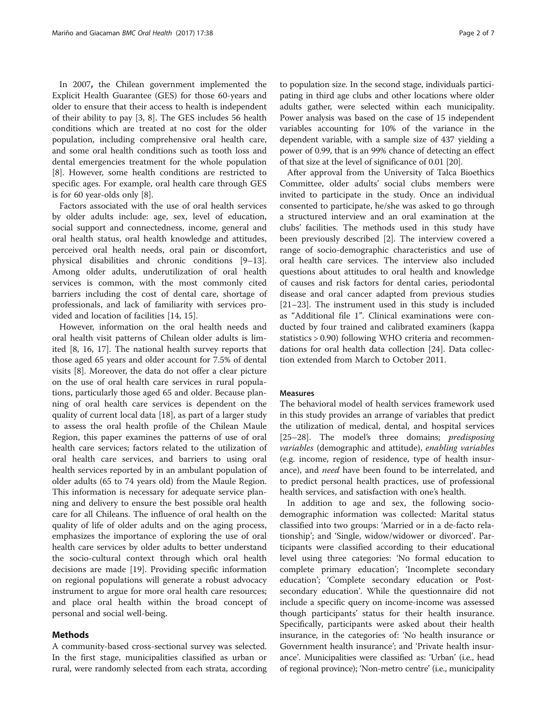In 2007, the Chilean government implemented the Explicit Health Guarantee (GES) for those 60-years and older to ensure that their access to health is independent of their ability to pay [[3, 8\]](#page-5-0). The GES includes 56 health conditions which are treated at no cost for the older population, including comprehensive oral health care, and some oral health conditions such as tooth loss and dental emergencies treatment for the whole population [[8\]](#page-5-0). However, some health conditions are restricted to specific ages. For example, oral health care through GES is for 60 year-olds only [[8\]](#page-5-0).

Factors associated with the use of oral health services by older adults include: age, sex, level of education, social support and connectedness, income, general and oral health status, oral health knowledge and attitudes, perceived oral health needs, oral pain or discomfort, physical disabilities and chronic conditions [[9](#page-5-0)–[13](#page-5-0)]. Among older adults, underutilization of oral health services is common, with the most commonly cited barriers including the cost of dental care, shortage of professionals, and lack of familiarity with services provided and location of facilities [\[14](#page-6-0), [15](#page-6-0)].

However, information on the oral health needs and oral health visit patterns of Chilean older adults is limited [\[8](#page-5-0), [16, 17\]](#page-6-0). The national health survey reports that those aged 65 years and older account for 7.5% of dental visits [[8](#page-5-0)]. Moreover, the data do not offer a clear picture on the use of oral health care services in rural populations, particularly those aged 65 and older. Because planning of oral health care services is dependent on the quality of current local data [[18\]](#page-6-0), as part of a larger study to assess the oral health profile of the Chilean Maule Region, this paper examines the patterns of use of oral health care services; factors related to the utilization of oral health care services, and barriers to using oral health services reported by in an ambulant population of older adults (65 to 74 years old) from the Maule Region. This information is necessary for adequate service planning and delivery to ensure the best possible oral health care for all Chileans. The influence of oral health on the quality of life of older adults and on the aging process, emphasizes the importance of exploring the use of oral health care services by older adults to better understand the socio-cultural context through which oral health decisions are made [[19](#page-6-0)]. Providing specific information on regional populations will generate a robust advocacy instrument to argue for more oral health care resources; and place oral health within the broad concept of personal and social well-being.

# Methods

A community-based cross-sectional survey was selected. In the first stage, municipalities classified as urban or rural, were randomly selected from each strata, according

to population size. In the second stage, individuals participating in third age clubs and other locations where older adults gather, were selected within each municipality. Power analysis was based on the case of 15 independent variables accounting for 10% of the variance in the dependent variable, with a sample size of 437 yielding a power of 0.99, that is an 99% chance of detecting an effect of that size at the level of significance of 0.01 [\[20\]](#page-6-0).

After approval from the University of Talca Bioethics Committee, older adults' social clubs members were invited to participate in the study. Once an individual consented to participate, he/she was asked to go through a structured interview and an oral examination at the clubs' facilities. The methods used in this study have been previously described [[2\]](#page-5-0). The interview covered a range of socio-demographic characteristics and use of oral health care services. The interview also included questions about attitudes to oral health and knowledge of causes and risk factors for dental caries, periodontal disease and oral cancer adapted from previous studies [[21](#page-6-0)–[23](#page-6-0)]. The instrument used in this study is included as "Additional file [1](#page-5-0)". Clinical examinations were conducted by four trained and calibrated examiners (kappa statistics > 0.90) following WHO criteria and recommen-dations for oral health data collection [[24\]](#page-6-0). Data collection extended from March to October 2011.

### Measures

The behavioral model of health services framework used in this study provides an arrange of variables that predict the utilization of medical, dental, and hospital services [[25](#page-6-0)-[28](#page-6-0)]. The model's three domains; predisposing variables (demographic and attitude), enabling variables (e.g. income, region of residence, type of health insurance), and need have been found to be interrelated, and to predict personal health practices, use of professional health services, and satisfaction with one's health.

In addition to age and sex, the following sociodemographic information was collected: Marital status classified into two groups: 'Married or in a de-facto relationship'; and 'Single, widow/widower or divorced'. Participants were classified according to their educational level using three categories: 'No formal education to complete primary education'; 'Incomplete secondary education'; 'Complete secondary education or Postsecondary education'. While the questionnaire did not include a specific query on income-income was assessed though participants' status for their health insurance. Specifically, participants were asked about their health insurance, in the categories of: 'No health insurance or Government health insurance'; and 'Private health insurance'. Municipalities were classified as: 'Urban' (i.e., head of regional province); 'Non-metro centre' (i.e., municipality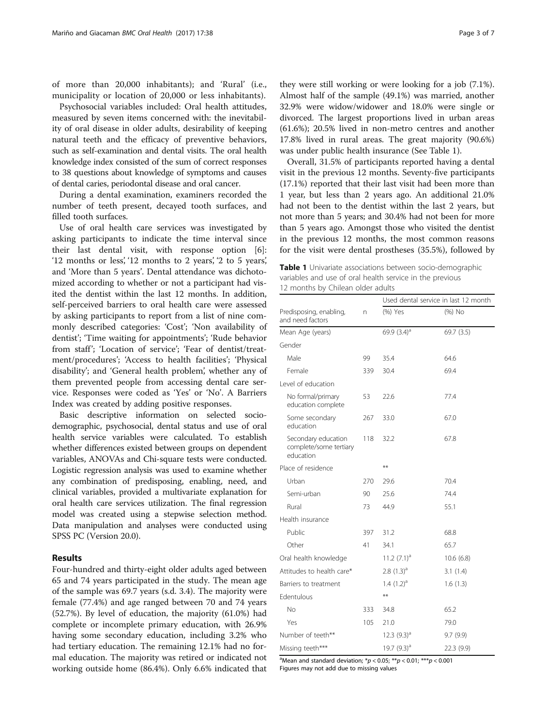<span id="page-2-0"></span>of more than 20,000 inhabitants); and 'Rural' (i.e., municipality or location of 20,000 or less inhabitants).

Psychosocial variables included: Oral health attitudes, measured by seven items concerned with: the inevitability of oral disease in older adults, desirability of keeping natural teeth and the efficacy of preventive behaviors, such as self-examination and dental visits. The oral health knowledge index consisted of the sum of correct responses to 38 questions about knowledge of symptoms and causes of dental caries, periodontal disease and oral cancer.

During a dental examination, examiners recorded the number of teeth present, decayed tooth surfaces, and filled tooth surfaces.

Use of oral health care services was investigated by asking participants to indicate the time interval since their last dental visit, with response option [\[6](#page-5-0)]: '12 months or less', '12 months to 2 years', '2 to 5 years', and 'More than 5 years'. Dental attendance was dichotomized according to whether or not a participant had visited the dentist within the last 12 months. In addition, self-perceived barriers to oral health care were assessed by asking participants to report from a list of nine commonly described categories: 'Cost'; 'Non availability of dentist'; 'Time waiting for appointments'; 'Rude behavior from staff'; 'Location of service'; 'Fear of dentist/treatment/procedures'; 'Access to health facilities'; 'Physical disability'; and 'General health problem', whether any of them prevented people from accessing dental care service. Responses were coded as 'Yes' or 'No'. A Barriers Index was created by adding positive responses.

Basic descriptive information on selected sociodemographic, psychosocial, dental status and use of oral health service variables were calculated. To establish whether differences existed between groups on dependent variables, ANOVAs and Chi-square tests were conducted. Logistic regression analysis was used to examine whether any combination of predisposing, enabling, need, and clinical variables, provided a multivariate explanation for oral health care services utilization. The final regression model was created using a stepwise selection method. Data manipulation and analyses were conducted using SPSS PC (Version 20.0).

#### Results

Four-hundred and thirty-eight older adults aged between 65 and 74 years participated in the study. The mean age of the sample was 69.7 years (s.d. 3.4). The majority were female (77.4%) and age ranged between 70 and 74 years (52.7%). By level of education, the majority (61.0%) had complete or incomplete primary education, with 26.9% having some secondary education, including 3.2% who had tertiary education. The remaining 12.1% had no formal education. The majority was retired or indicated not working outside home (86.4%). Only 6.6% indicated that

they were still working or were looking for a job (7.1%). Almost half of the sample (49.1%) was married, another 32.9% were widow/widower and 18.0% were single or divorced. The largest proportions lived in urban areas (61.6%); 20.5% lived in non-metro centres and another 17.8% lived in rural areas. The great majority (90.6%) was under public health insurance (See Table 1).

Overall, 31.5% of participants reported having a dental visit in the previous 12 months. Seventy-five participants (17.1%) reported that their last visit had been more than 1 year, but less than 2 years ago. An additional 21.0% had not been to the dentist within the last 2 years, but not more than 5 years; and 30.4% had not been for more than 5 years ago. Amongst those who visited the dentist in the previous 12 months, the most common reasons for the visit were dental prostheses (35.5%), followed by

Table 1 Univariate associations between socio-demographic variables and use of oral health service in the previous 12 months by Chilean older adults

|                                                            |     | Used dental service in last 12 month |            |
|------------------------------------------------------------|-----|--------------------------------------|------------|
| Predisposing, enabling,<br>and need factors                | n   | (%) Yes                              | (%) No     |
| Mean Age (years)                                           |     | 69.9 (3.4) <sup>a</sup>              | 69.7 (3.5) |
| Gender                                                     |     |                                      |            |
| Male                                                       | 99  | 35.4                                 | 64.6       |
| Female                                                     | 339 | 30.4                                 | 69.4       |
| Level of education                                         |     |                                      |            |
| No formal/primary<br>education complete                    | 53  | 22.6                                 | 77.4       |
| Some secondary<br>education                                | 267 | 33.0                                 | 67.0       |
| Secondary education<br>complete/some tertiary<br>education | 118 | 32.2                                 | 67.8       |
| Place of residence                                         |     | **                                   |            |
| Urban                                                      | 270 | 29.6                                 | 70.4       |
| Semi-urban                                                 | 90  | 25.6                                 | 74.4       |
| Rural                                                      | 73  | 44.9                                 | 55.1       |
| Health insurance                                           |     |                                      |            |
| Public                                                     | 397 | 31.2                                 | 68.8       |
| Other                                                      | 41  | 34.1                                 | 65.7       |
| Oral health knowledge                                      |     | 11.2 $(7.1)^a$                       | 10.6(6.8)  |
| Attitudes to health care*                                  |     | $2.8(1.3)^a$                         | 3.1(1.4)   |
| Barriers to treatment                                      |     | 1.4 $(1.2)^a$                        | 1.6(1.3)   |
| Edentulous                                                 |     | $**$                                 |            |
| No                                                         | 333 | 34.8                                 | 65.2       |
| Yes                                                        | 105 | 21.0                                 | 79.0       |
| Number of teeth**                                          |     | 12.3 $(9.3)^{a}$                     | 9.7(9.9)   |
| Missing teeth***                                           |     | 19.7 $(9.3)^a$                       | 22.3 (9.9) |

<sup>a</sup>Mean and standard deviation;  $^{*}p$  < 0.05;  $^{**}p$  < 0.01;  $^{***}p$  < 0.001 Figures may not add due to missing values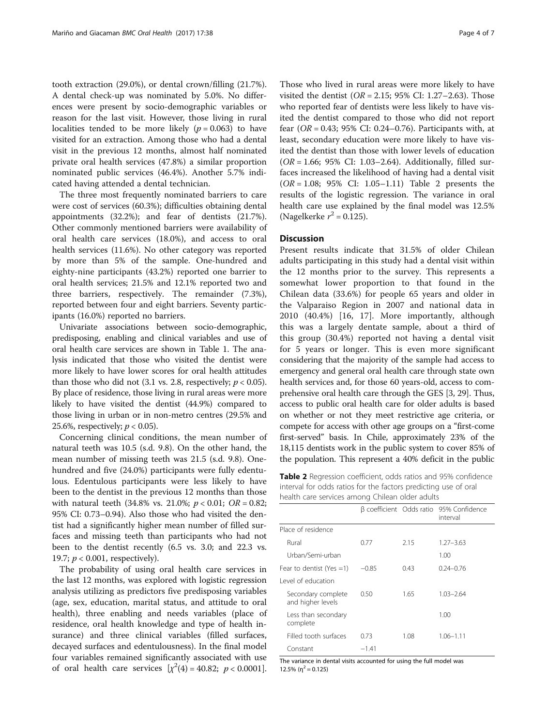tooth extraction (29.0%), or dental crown/filling (21.7%). A dental check-up was nominated by 5.0%. No differences were present by socio-demographic variables or reason for the last visit. However, those living in rural localities tended to be more likely ( $p = 0.063$ ) to have visited for an extraction. Among those who had a dental visit in the previous 12 months, almost half nominated private oral health services (47.8%) a similar proportion nominated public services (46.4%). Another 5.7% indicated having attended a dental technician.

The three most frequently nominated barriers to care were cost of services (60.3%); difficulties obtaining dental appointments (32.2%); and fear of dentists (21.7%). Other commonly mentioned barriers were availability of oral health care services (18.0%), and access to oral health services (11.6%). No other category was reported by more than 5% of the sample. One-hundred and eighty-nine participants (43.2%) reported one barrier to oral health services; 21.5% and 12.1% reported two and three barriers, respectively. The remainder (7.3%), reported between four and eight barriers. Seventy participants (16.0%) reported no barriers.

Univariate associations between socio-demographic, predisposing, enabling and clinical variables and use of oral health care services are shown in Table [1](#page-2-0). The analysis indicated that those who visited the dentist were more likely to have lower scores for oral health attitudes than those who did not  $(3.1 \text{ vs. } 2.8, \text{ respectively}; p < 0.05)$ . By place of residence, those living in rural areas were more likely to have visited the dentist (44.9%) compared to those living in urban or in non-metro centres (29.5% and 25.6%, respectively;  $p < 0.05$ ).

Concerning clinical conditions, the mean number of natural teeth was 10.5 (s.d. 9.8). On the other hand, the mean number of missing teeth was 21.5 (s.d. 9.8). Onehundred and five (24.0%) participants were fully edentulous. Edentulous participants were less likely to have been to the dentist in the previous 12 months than those with natural teeth (34.8% vs. 21.0%;  $p < 0.01$ ;  $OR = 0.82$ ; 95% CI: 0.73–0.94). Also those who had visited the dentist had a significantly higher mean number of filled surfaces and missing teeth than participants who had not been to the dentist recently (6.5 vs. 3.0; and 22.3 vs. 19.7;  $p < 0.001$ , respectively).

The probability of using oral health care services in the last 12 months, was explored with logistic regression analysis utilizing as predictors five predisposing variables (age, sex, education, marital status, and attitude to oral health), three enabling and needs variables (place of residence, oral health knowledge and type of health insurance) and three clinical variables (filled surfaces, decayed surfaces and edentulousness). In the final model four variables remained significantly associated with use of oral health care services  $[\chi^2(4) = 40.82; \ p < 0.0001]$ .

Those who lived in rural areas were more likely to have visited the dentist ( $OR = 2.15$ ; 95% CI: 1.27–2.63). Those who reported fear of dentists were less likely to have visited the dentist compared to those who did not report fear ( $OR = 0.43$ ; 95% CI: 0.24–0.76). Participants with, at least, secondary education were more likely to have visited the dentist than those with lower levels of education  $(OR = 1.66; 95\% \text{ CI: } 1.03-2.64)$ . Additionally, filled surfaces increased the likelihood of having had a dental visit  $(OR = 1.08; 95\% \text{ CI: } 1.05-1.11) \text{ Table 2 presents the}$ results of the logistic regression. The variance in oral health care use explained by the final model was 12.5% (Nagelkerke  $r^2$  = 0.125).

# **Discussion**

Present results indicate that 31.5% of older Chilean adults participating in this study had a dental visit within the 12 months prior to the survey. This represents a somewhat lower proportion to that found in the Chilean data (33.6%) for people 65 years and older in the Valparaiso Region in 2007 and national data in 2010 (40.4%) [[16, 17\]](#page-6-0). More importantly, although this was a largely dentate sample, about a third of this group (30.4%) reported not having a dental visit for 5 years or longer. This is even more significant considering that the majority of the sample had access to emergency and general oral health care through state own health services and, for those 60 years-old, access to comprehensive oral health care through the GES [[3](#page-5-0), [29\]](#page-6-0). Thus, access to public oral health care for older adults is based on whether or not they meet restrictive age criteria, or compete for access with other age groups on a "first-come first-served" basis. In Chile, approximately 23% of the 18,115 dentists work in the public system to cover 85% of the population. This represent a 40% deficit in the public

Table 2 Regression coefficient, odds ratios and 95% confidence interval for odds ratios for the factors predicting use of oral health care services among Chilean older adults

|                                         | ╯       |      |                                                     |
|-----------------------------------------|---------|------|-----------------------------------------------------|
|                                         |         |      | β coefficient Odds ratio 95% Confidence<br>interval |
| Place of residence                      |         |      |                                                     |
| Rural                                   | 0.77    | 2.15 | $1.27 - 3.63$                                       |
| Urban/Semi-urban                        |         |      | 1.00                                                |
| Fear to dentist (Yes $=1$ )             | $-0.85$ | 0.43 | $0.24 - 0.76$                                       |
| Level of education                      |         |      |                                                     |
| Secondary complete<br>and higher levels | 0.50    | 1.65 | $1.03 - 2.64$                                       |
| Less than secondary<br>complete         |         |      | 1.00                                                |
| Filled tooth surfaces                   | 0.73    | 1.08 | $1.06 - 1.11$                                       |
| Constant                                | $-1.41$ |      |                                                     |

The variance in dental visits accounted for using the full model was 12.5% (η<sup>2</sup> = 0.125)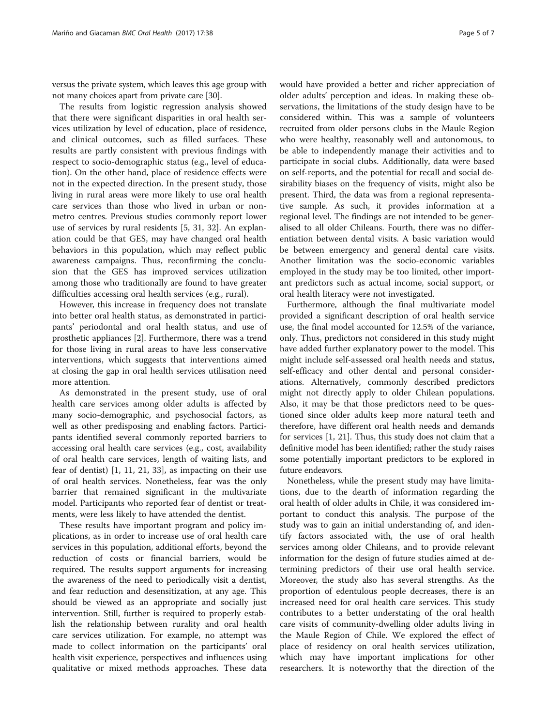versus the private system, which leaves this age group with not many choices apart from private care [[30\]](#page-6-0).

The results from logistic regression analysis showed that there were significant disparities in oral health services utilization by level of education, place of residence, and clinical outcomes, such as filled surfaces. These results are partly consistent with previous findings with respect to socio-demographic status (e.g., level of education). On the other hand, place of residence effects were not in the expected direction. In the present study, those living in rural areas were more likely to use oral health care services than those who lived in urban or nonmetro centres. Previous studies commonly report lower use of services by rural residents [[5,](#page-5-0) [31](#page-6-0), [32\]](#page-6-0). An explanation could be that GES, may have changed oral health behaviors in this population, which may reflect public awareness campaigns. Thus, reconfirming the conclusion that the GES has improved services utilization among those who traditionally are found to have greater difficulties accessing oral health services (e.g., rural).

However, this increase in frequency does not translate into better oral health status, as demonstrated in participants' periodontal and oral health status, and use of prosthetic appliances [[2\]](#page-5-0). Furthermore, there was a trend for those living in rural areas to have less conservative interventions, which suggests that interventions aimed at closing the gap in oral health services utilisation need more attention.

As demonstrated in the present study, use of oral health care services among older adults is affected by many socio-demographic, and psychosocial factors, as well as other predisposing and enabling factors. Participants identified several commonly reported barriers to accessing oral health care services (e.g., cost, availability of oral health care services, length of waiting lists, and fear of dentist) [\[1](#page-5-0), [11,](#page-5-0) [21](#page-6-0), [33\]](#page-6-0), as impacting on their use of oral health services. Nonetheless, fear was the only barrier that remained significant in the multivariate model. Participants who reported fear of dentist or treatments, were less likely to have attended the dentist.

These results have important program and policy implications, as in order to increase use of oral health care services in this population, additional efforts, beyond the reduction of costs or financial barriers, would be required. The results support arguments for increasing the awareness of the need to periodically visit a dentist, and fear reduction and desensitization, at any age. This should be viewed as an appropriate and socially just intervention. Still, further is required to properly establish the relationship between rurality and oral health care services utilization. For example, no attempt was made to collect information on the participants' oral health visit experience, perspectives and influences using qualitative or mixed methods approaches. These data would have provided a better and richer appreciation of older adults' perception and ideas. In making these observations, the limitations of the study design have to be considered within. This was a sample of volunteers recruited from older persons clubs in the Maule Region who were healthy, reasonably well and autonomous, to be able to independently manage their activities and to participate in social clubs. Additionally, data were based on self-reports, and the potential for recall and social desirability biases on the frequency of visits, might also be present. Third, the data was from a regional representative sample. As such, it provides information at a regional level. The findings are not intended to be generalised to all older Chileans. Fourth, there was no differentiation between dental visits. A basic variation would be between emergency and general dental care visits. Another limitation was the socio-economic variables employed in the study may be too limited, other important predictors such as actual income, social support, or oral health literacy were not investigated.

Furthermore, although the final multivariate model provided a significant description of oral health service use, the final model accounted for 12.5% of the variance, only. Thus, predictors not considered in this study might have added further explanatory power to the model. This might include self-assessed oral health needs and status, self-efficacy and other dental and personal considerations. Alternatively, commonly described predictors might not directly apply to older Chilean populations. Also, it may be that those predictors need to be questioned since older adults keep more natural teeth and therefore, have different oral health needs and demands for services [[1,](#page-5-0) [21\]](#page-6-0). Thus, this study does not claim that a definitive model has been identified; rather the study raises some potentially important predictors to be explored in future endeavors.

Nonetheless, while the present study may have limitations, due to the dearth of information regarding the oral health of older adults in Chile, it was considered important to conduct this analysis. The purpose of the study was to gain an initial understanding of, and identify factors associated with, the use of oral health services among older Chileans, and to provide relevant information for the design of future studies aimed at determining predictors of their use oral health service. Moreover, the study also has several strengths. As the proportion of edentulous people decreases, there is an increased need for oral health care services. This study contributes to a better understating of the oral health care visits of community-dwelling older adults living in the Maule Region of Chile. We explored the effect of place of residency on oral health services utilization, which may have important implications for other researchers. It is noteworthy that the direction of the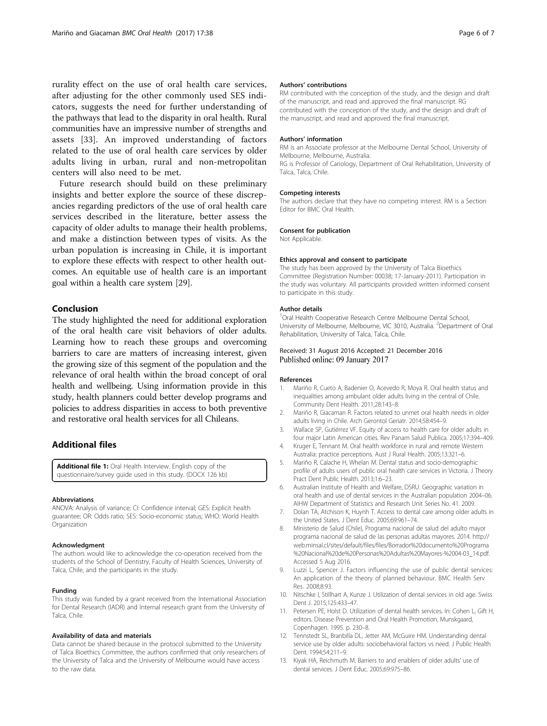<span id="page-5-0"></span>rurality effect on the use of oral health care services, after adjusting for the other commonly used SES indicators, suggests the need for further understanding of the pathways that lead to the disparity in oral health. Rural communities have an impressive number of strengths and assets [\[33](#page-6-0)]. An improved understanding of factors related to the use of oral health care services by older adults living in urban, rural and non-metropolitan centers will also need to be met.

Future research should build on these preliminary insights and better explore the source of these discrepancies regarding predictors of the use of oral health care services described in the literature, better assess the capacity of older adults to manage their health problems, and make a distinction between types of visits. As the urban population is increasing in Chile, it is important to explore these effects with respect to other health outcomes. An equitable use of health care is an important goal within a health care system [\[29](#page-6-0)].

# Conclusion

The study highlighted the need for additional exploration of the oral health care visit behaviors of older adults. Learning how to reach these groups and overcoming barriers to care are matters of increasing interest, given the growing size of this segment of the population and the relevance of oral health within the broad concept of oral health and wellbeing. Using information provide in this study, health planners could better develop programs and policies to address disparities in access to both preventive and restorative oral health services for all Chileans.

# Additional files

[Additional file 1:](dx.doi.org/10.1186/s12903-016-0329-2) Oral Health Interview. English copy of the questionnaire/survey guide used in this study. (DOCX 126 kb)

#### Abbreviations

ANOVA: Analysis of variance; CI: Confidence interval; GES: Explicit health guarantee; OR: Odds ratio; SES: Socio-economic status; WHO: World Health **Organization** 

#### **Acknowledament**

The authors would like to acknowledge the co-operation received from the students of the School of Dentistry, Faculty of Health Sciences, University of Talca, Chile, and the participants in the study.

#### Funding

This study was funded by a grant received from the International Association for Dental Research (IADR) and Internal research grant from the University of Talca, Chile.

#### Availability of data and materials

Data cannot be shared because in the protocol submitted to the University of Talca Bioethics Committee, the authors confirmed that only researchers of the University of Talca and the University of Melbourne would have access to the raw data.

#### Authors' contributions

RM contributed with the conception of the study, and the design and draft of the manuscript, and read and approved the final manuscript. RG contributed with the conception of the study, and the design and draft of the manuscript, and read and approved the final manuscript.

#### Authors' information

RM is an Associate professor at the Melbourne Dental School, University of Melbourne, Melbourne, Australia.

RG is Professor of Cariology, Department of Oral Rehabilitation, University of Talca, Talca, Chile.

#### Competing interests

The authors declare that they have no competing interest. RM is a Section Editor for BMC Oral Health.

#### Consent for publication

Not Applicable.

#### Ethics approval and consent to participate

The study has been approved by the University of Talca Bioethics Committee (Registration Number: 00038; 17-January-2011). Participation in the study was voluntary. All participants provided written informed consent to participate in this study.

#### Author details

<sup>1</sup>Oral Health Cooperative Research Centre Melbourne Dental School University of Melbourne, Melbourne, VIC 3010, Australia. <sup>2</sup>Department of Oral Rehabilitation, University of Talca, Talca, Chile.

#### Received: 31 August 2016 Accepted: 21 December 2016 Published online: 09 January 2017

#### References

- 1. Mariño R, Cueto A, Badenier O, Acevedo R, Moya R. Oral health status and inequalities among ambulant older adults living in the central of Chile. Community Dent Health. 2011;28:143–8.
- 2. Mariño R, Giacaman R. Factors related to unmet oral health needs in older adults living in Chile. Arch Gerontol Geriatr. 2014;58:454–9.
- 3. Wallace SP, Gutiérrez VF. Equity of access to health care for older adults in four major Latin American cities. Rev Panam Salud Publica. 2005;17:394–409.
- 4. Kruger E, Tennant M. Oral health workforce in rural and remote Western Australia: practice perceptions. Aust J Rural Health. 2005;13:321–6.
- 5. Mariño R, Calache H, Whelan M. Dental status and socio-demographic profile of adults users of public oral health care services in Victoria. J Theory Pract Dent Public Health. 2013;1:6–23.
- 6. Australian Institute of Health and Welfare, DSRU. Geographic variation in oral health and use of dental services in the Australian population 2004–06. AIHW Department of Statistics and Research Unit Series No. 41. 2009.
- 7. Dolan TA, Atchison K, Huynh T. Access to dental care among older adults in the United States. J Dent Educ. 2005;69:961–74.
- 8. Ministerio de Salud (Chile), Programa nacional de salud del adulto mayor programa nacional de salud de las personas adultas mayores. 2014. [http://](http://web.minsal.cl/sites/default/files/files/Borrador%20documento%20Programa%20Nacional%20de%20Personas%20Adultas%20Mayores-%2004-03_14.pdf) [web.minsal.cl/sites/default/files/files/Borrador%20documento%20Programa](http://web.minsal.cl/sites/default/files/files/Borrador%20documento%20Programa%20Nacional%20de%20Personas%20Adultas%20Mayores-%2004-03_14.pdf) [%20Nacional%20de%20Personas%20Adultas%20Mayores-%2004-03\\_14.pdf](http://web.minsal.cl/sites/default/files/files/Borrador%20documento%20Programa%20Nacional%20de%20Personas%20Adultas%20Mayores-%2004-03_14.pdf). Accessed 5 Aug 2016.
- 9. Luzzi L, Spencer J. Factors influencing the use of public dental services: An application of the theory of planned behaviour. BMC Health Serv Res. 2008;8:93.
- 10. Nitschke I, Stillhart A, Kunze J. Utilization of dental services in old age. Swiss Dent J. 2015;125:433–47.
- 11. Petersen PE, Holst D. Utilization of dental health services. In: Cohen L, Gift H, editors. Disease Prevention and Oral Health Promotion, Munskgaard, Copenhagen. 1995. p. 230–8.
- 12. Tennstedt SL, Branbilla DL, Jetter AM, McGuire HM. Understanding dental service use by older adults: sociobehavioral factors vs need. J Public Health Dent. 1994;54:211–9.
- 13. Kiyak HA, Reichmuth M. Barriers to and enablers of older adults' use of dental services. J Dent Educ. 2005;69:975–86.